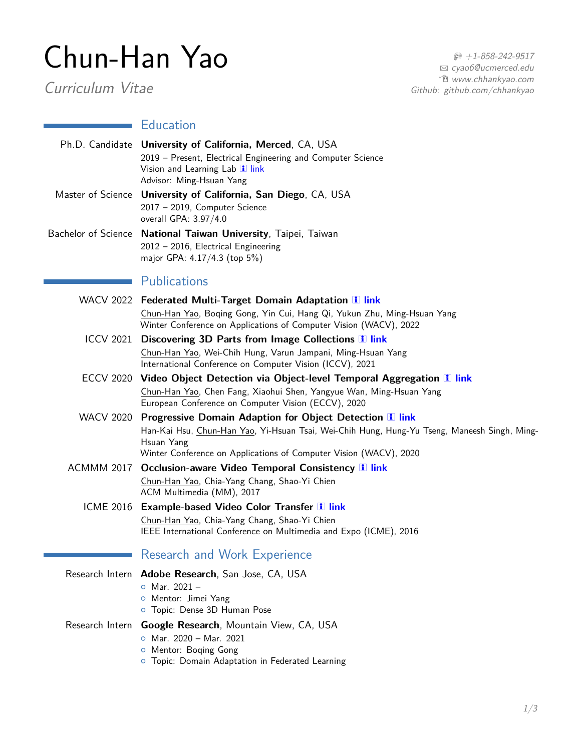## Chun-Han Yao

Curriculum Vitae

 $$ +1-858-242-9517$ B [cyao6@ucmerced.edu](mailto:cyao6@ucmerced.edu) Í [www.chhankyao.com](http://www.chhankyao.com) Github: github.com/chhankyao

## **Education**

|                  | Ph.D. Candidate University of California, Merced, CA, USA<br>2019 - Present, Electrical Engineering and Computer Science<br>Vision and Learning Lab 1 link<br>Advisor: Ming-Hsuan Yang                                                            |
|------------------|---------------------------------------------------------------------------------------------------------------------------------------------------------------------------------------------------------------------------------------------------|
|                  | Master of Science University of California, San Diego, CA, USA<br>2017 - 2019, Computer Science<br>overall GPA: 3.97/4.0                                                                                                                          |
|                  | Bachelor of Science National Taiwan University, Taipei, Taiwan<br>2012 - 2016, Electrical Engineering<br>major GPA: 4.17/4.3 (top 5%)                                                                                                             |
|                  | <b>Publications</b>                                                                                                                                                                                                                               |
|                  | WACV 2022 Federated Multi-Target Domain Adaptation 1 link<br>Chun-Han Yao, Boqing Gong, Yin Cui, Hang Qi, Yukun Zhu, Ming-Hsuan Yang<br>Winter Conference on Applications of Computer Vision (WACV), 2022                                         |
|                  | ICCV 2021 Discovering 3D Parts from Image Collections 1 link<br>Chun-Han Yao, Wei-Chih Hung, Varun Jampani, Ming-Hsuan Yang<br>International Conference on Computer Vision (ICCV), 2021                                                           |
|                  | ECCV 2020 Video Object Detection via Object-level Temporal Aggregation I link<br>Chun-Han Yao, Chen Fang, Xiaohui Shen, Yangyue Wan, Ming-Hsuan Yang<br>European Conference on Computer Vision (ECCV), 2020                                       |
| <b>WACV 2020</b> | <b>Progressive Domain Adaption for Object Detection 1 link</b><br>Han-Kai Hsu, Chun-Han Yao, Yi-Hsuan Tsai, Wei-Chih Hung, Hung-Yu Tseng, Maneesh Singh, Ming-<br>Hsuan Yang<br>Winter Conference on Applications of Computer Vision (WACV), 2020 |
|                  | ACMMM 2017 Occlusion-aware Video Temporal Consistency 1 link<br>Chun-Han Yao, Chia-Yang Chang, Shao-Yi Chien<br>ACM Multimedia (MM), 2017                                                                                                         |
|                  | ICME 2016 Example-based Video Color Transfer 1 link<br>Chun-Han Yao, Chia-Yang Chang, Shao-Yi Chien<br>IEEE International Conference on Multimedia and Expo (ICME), 2016                                                                          |
|                  | <b>Research and Work Experience</b>                                                                                                                                                                                                               |
|                  | Research Intern Adobe Research, San Jose, CA, USA<br>$\circ$ Mar. 2021 -<br>O Mentor: Jimei Yang<br>o Topic: Dense 3D Human Pose                                                                                                                  |
|                  | Research Intern Google Research, Mountain View, CA, USA                                                                                                                                                                                           |

- { Mar. 2020 Mar. 2021 { Mentor: Boqing Gong
- { Topic: Domain Adaptation in Federated Learning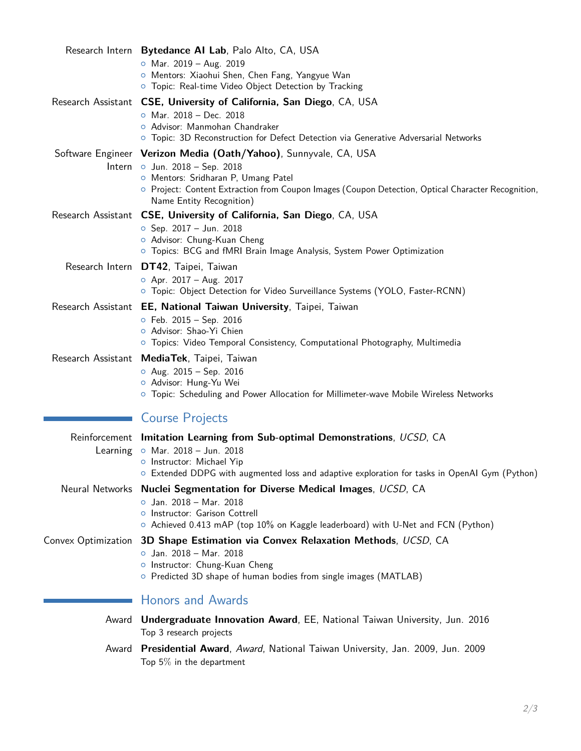|       | Research Intern Bytedance AI Lab, Palo Alto, CA, USA                                                                                                                                                                                                                        |
|-------|-----------------------------------------------------------------------------------------------------------------------------------------------------------------------------------------------------------------------------------------------------------------------------|
|       | o Mar. $2019 - Aug. 2019$<br>O Mentors: Xiaohui Shen, Chen Fang, Yangyue Wan<br>O Topic: Real-time Video Object Detection by Tracking                                                                                                                                       |
|       | Research Assistant CSE, University of California, San Diego, CA, USA<br>$\circ$ Mar. 2018 - Dec. 2018<br>o Advisor: Manmohan Chandraker<br>O Topic: 3D Reconstruction for Defect Detection via Generative Adversarial Networks                                              |
|       | Software Engineer Verizon Media (Oath/Yahoo), Sunnyvale, CA, USA<br>Intern o Jun. 2018 - Sep. 2018<br>O Mentors: Sridharan P, Umang Patel<br>O Project: Content Extraction from Coupon Images (Coupon Detection, Optical Character Recognition,<br>Name Entity Recognition) |
|       | Research Assistant CSE, University of California, San Diego, CA, USA<br>$\circ$ Sep. 2017 - Jun. 2018<br>o Advisor: Chung-Kuan Cheng<br>O Topics: BCG and fMRI Brain Image Analysis, System Power Optimization                                                              |
|       | Research Intern DT42, Taipei, Taiwan<br>$\circ$ Apr. 2017 – Aug. 2017<br>O Topic: Object Detection for Video Surveillance Systems (YOLO, Faster-RCNN)                                                                                                                       |
|       | Research Assistant EE, National Taiwan University, Taipei, Taiwan                                                                                                                                                                                                           |
|       | $\circ$ Feb. 2015 - Sep. 2016<br>o Advisor: Shao-Yi Chien<br>○ Topics: Video Temporal Consistency, Computational Photography, Multimedia                                                                                                                                    |
|       | Research Assistant MediaTek, Taipei, Taiwan<br>$O$ Aug. 2015 - Sep. 2016<br>o Advisor: Hung-Yu Wei<br>O Topic: Scheduling and Power Allocation for Millimeter-wave Mobile Wireless Networks                                                                                 |
|       | <b>Course Projects</b>                                                                                                                                                                                                                                                      |
|       | Reinforcement Imitation Learning from Sub-optimal Demonstrations, UCSD, CA<br>Learning $\circ$ Mar. 2018 - Jun. 2018<br>o Instructor: Michael Yip<br>○ Extended DDPG with augmented loss and adaptive exploration for tasks in OpenAI Gym (Python)                          |
|       | Neural Networks Nuclei Segmentation for Diverse Medical Images, UCSD, CA<br>o Jan. 2018 - Mar. 2018<br>o Instructor: Garison Cottrell<br>○ Achieved 0.413 mAP (top 10% on Kaggle leaderboard) with U-Net and FCN (Python)                                                   |
|       | Convex Optimization 3D Shape Estimation via Convex Relaxation Methods, UCSD, CA<br>$\circ$ Jan. 2018 - Mar. 2018<br>o Instructor: Chung-Kuan Cheng<br>○ Predicted 3D shape of human bodies from single images (MATLAB)                                                      |
|       | <b>Honors and Awards</b>                                                                                                                                                                                                                                                    |
| Award | Undergraduate Innovation Award, EE, National Taiwan University, Jun. 2016<br>Top 3 research projects                                                                                                                                                                        |
| Award | Presidential Award, Award, National Taiwan University, Jan. 2009, Jun. 2009<br>Top $5\%$ in the department                                                                                                                                                                  |